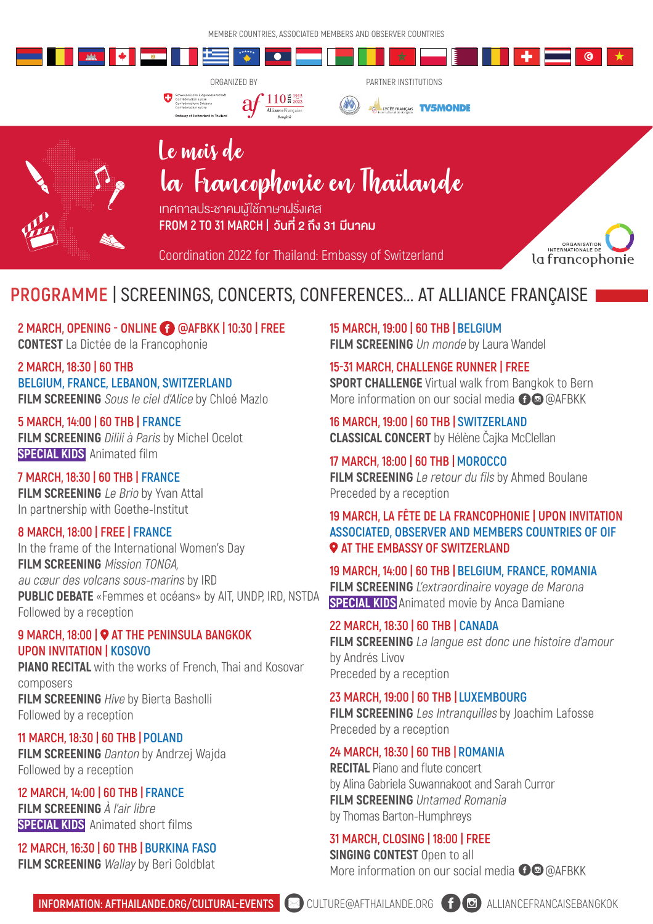# **PROGRAMME | SCREENINGS, CONCERTS, CONFERENCES... AT ALLIANCE FRANÇAISE**

**2 MARCH, 18:30 | 60 THB BELGIUM, FRANCE, LEBANON, SWITZERLAND** FILM SCREENING Sous le ciel d'Alice by Chloé Mazlo

### **2 MARCH, OPENING - ONLINE @AFBKK | 10:30 | FREE CONTEST** La Dictée de la Francophonie

**5 MARCH, 14:00 | 60 THB | FRANCE FILM SCREENING Dilili à Paris by Michel Ocelot SPECIAL KIDS** Animated film

## **9 MARCH, 18:00 |**  $\bullet$  **AT THE PENINSULA BANGKOK UPON INVITATION | KOSOVO**

### **7 MARCH, 18:30 | 60 THB | FRANCE FILM SCREENING** Le Brio by Yvan Attal In partnership with Goethe-Institut

**FILM SCREENING** Hive by Bierta Basholli Followed by a reception

### **8 MARCH, 18:00 | FREE | FRANCE**

**FILM SCREENING** Danton by Andrzej Wajda Followed by a reception

### **12 MARCH, 16:30 | 60 THB | BURKINA FASO FILM SCREENING** *Wallay* by Beri Goldblat

In the frame of the International Women's Day **FILM SCREENING** Mission TONGA, au cœur des volcans sous-marins by IRD **PUBLIC DEBATE** «Femmes et océans» by AIT, UNDP, IRD, NSTDA Followed by a reception

**SPORT CHALLENGE** Virtual walk from Bangkok to Bern More information on our social media  $\bigoplus$  @AFBKK

### **19 MARCH, LA FÊTE DE LA FRANCOPHONIE | UPON INVITATION ASSOCIATED, OBSERVER AND MEMBERS COUNTRIES OF OIF P AT THE EMBASSY OF SWITZERLAND**

**PIANO RECITAL** with the works of French, Thai and Kosovar

### composers

## **11 MARCH, 18:30 | 60 THB | POLAND**

**FILM SCREENING** La langue est donc une histoire d'amour by Andrés Livov Preceded by a reception

**12 MARCH, 14:00 | 60 THB | FRANCE** FILM SCREENING À l'air libre **SPECIAL KIDS** Animated short films

**RECITAL Piano and flute concert** by Alina Gabriela Suwannakoot and Sarah Curror **FILM SCREENING Untamed Romania** by Thomas Barton-Humphreys

### **31 MARCH, CLOSING | 18:00 | FREE SINGING CONTEST Open to all** More information on our social media  $\bigoplus$  @AFBKK

### **15 MARCH, 19:00 | 60 THB | BELGIUM**

**FILM SCREENING** Un monde by Laura Wandel

# Le mois de la Francophonie en Thaïlande เทศกาลประชาคมผู้ใช้ภาษาฝรั่งเศส **FROM 2 TO 31 MARCH |**  $\overrightarrow{O}$ **UN 2 NJ 31 JU1AU**

### **15-31 MARCH, CHALLENGE RUNNER | FREE**

### **16 MARCH, 19:00 | 60 THB | SWITZERLAND CLASSICAL CONCERT** by Hélène Čajka McClellan

**17 MARCH, 18:00 | 60 THB |MOROCCO FILM SCREENING** Le retour du fils by Ahmed Boulane Preceded by a reception

**19 MARCH, 14:00 | 60 THB | BELGIUM, FRANCE, ROMANIA FILM SCREENING** L'extraordinaire voyage de Marona **SPECIAL KIDS** Animated movie by Anca Damiane

### **22 MARCH, 18:30 | 60 THB | CANADA**

**23 MARCH, 19:00 | 60 THB | LUXEMBOURG FILM SCREENING** Les Intranquilles by Joachim Lafosse Preceded by a reception

### **24 MARCH, 18:30 | 60 THB | ROMANIA**

### MEMBER COUNTRIES, ASSOCIATED MEMBERS AND OBSERVER COUNTRIES





### ORGANIZED BY PARTNER INSTITUTIONS





 **INFORMATION: AFTHAILANDE.ORG/CULTURAL-EVENTS**  CULTURE@AFTHAILANDE.ORG ALLIANCEFRANCAISEBANGKOK